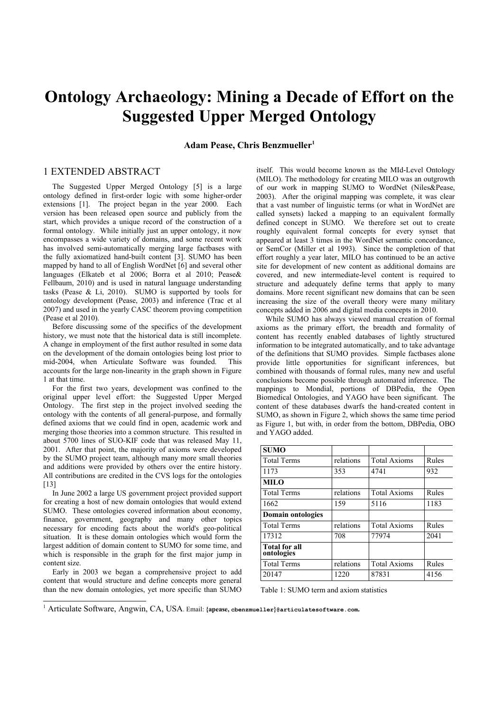## **Ontology Archaeology: Mining a Decade of Effort on the Suggested Upper Merged Ontology**

**Adam Pease, Chris Benzmueller[1](#page-0-0)**

## 1 EXTENDED ABSTRACT

The Suggested Upper Merged Ontology [5] is a large ontology defined in first-order logic with some higher-order extensions [1]. The project began in the year 2000. Each version has been released open source and publicly from the start, which provides a unique record of the construction of a formal ontology. While initially just an upper ontology, it now encompasses a wide variety of domains, and some recent work has involved semi-automatically merging large factbases with the fully axiomatized hand-built content [3]. SUMO has been mapped by hand to all of English WordNet [6] and several other languages (Elkateb et al 2006; Borra et al 2010; Pease& Fellbaum, 2010) and is used in natural language understanding tasks (Pease  $\&$  Li, 2010). SUMO is supported by tools for ontology development (Pease, 2003) and inference (Trac et al 2007) and used in the yearly CASC theorem proving competition (Pease et al 2010).

Before discussing some of the specifics of the development history, we must note that the historical data is still incomplete. A change in employment of the first author resulted in some data on the development of the domain ontologies being lost prior to mid-2004, when Articulate Software was founded. This accounts for the large non-linearity in the graph shown in Figure 1 at that time.

For the first two years, development was confined to the original upper level effort: the Suggested Upper Merged Ontology. The first step in the project involved seeding the ontology with the contents of all general-purpose, and formally defined axioms that we could find in open, academic work and merging those theories into a common structure. This resulted in about 5700 lines of SUO-KIF code that was released May 11, 2001. After that point, the majority of axioms were developed by the SUMO project team, although many more small theories and additions were provided by others over the entire history. All contributions are credited in the CVS logs for the ontologies  $[13]$ 

In June 2002 a large US government project provided support for creating a host of new domain ontologies that would extend SUMO. These ontologies covered information about economy, finance, government, geography and many other topics necessary for encoding facts about the world's geo-political situation. It is these domain ontologies which would form the largest addition of domain content to SUMO for some time, and which is responsible in the graph for the first major jump in content size.

Early in 2003 we began a comprehensive project to add content that would structure and define concepts more general than the new domain ontologies, yet more specific than SUMO itself. This would become known as the MId-Level Ontology (MILO). The methodology for creating MILO was an outgrowth of our work in mapping SUMO to WordNet (Niles&Pease, 2003). After the original mapping was complete, it was clear that a vast number of linguistic terms (or what in WordNet are called synsets) lacked a mapping to an equivalent formally defined concept in SUMO. We therefore set out to create roughly equivalent formal concepts for every synset that appeared at least 3 times in the WordNet semantic concordance, or SemCor (Miller et al 1993). Since the completion of that effort roughly a year later, MILO has continued to be an active site for development of new content as additional domains are covered, and new intermediate-level content is required to structure and adequately define terms that apply to many domains. More recent significant new domains that can be seen increasing the size of the overall theory were many military concepts added in 2006 and digital media concepts in 2010.

While SUMO has always viewed manual creation of formal axioms as the primary effort, the breadth and formality of content has recently enabled databases of lightly structured information to be integrated automatically, and to take advantage of the definitions that SUMO provides. Simple factbases alone provide little opportunities for significant inferences, but combined with thousands of formal rules, many new and useful conclusions become possible through automated inference. The mappings to Mondial, portions of DBPedia, the Open Biomedical Ontologies, and YAGO have been significant. The content of these databases dwarfs the hand-created content in SUMO, as shown in Figure 2, which shows the same time period as Figure 1, but with, in order from the bottom, DBPedia, OBO and YAGO added.

| <b>SUMO</b>                        |           |                     |       |
|------------------------------------|-----------|---------------------|-------|
| <b>Total Terms</b>                 | relations | <b>Total Axioms</b> | Rules |
| 1173                               | 353       | 4741                | 932   |
| <b>MILO</b>                        |           |                     |       |
| <b>Total Terms</b>                 | relations | <b>Total Axioms</b> | Rules |
| 1662                               | 159       | 5116                | 1183  |
| <b>Domain ontologies</b>           |           |                     |       |
| <b>Total Terms</b>                 | relations | <b>Total Axioms</b> | Rules |
| 17312                              | 708       | 77974               | 2041  |
| <b>Total for all</b><br>ontologies |           |                     |       |
| <b>Total Terms</b>                 | relations | <b>Total Axioms</b> | Rules |
| 20147                              | 1220      | 87831               | 4156  |

Table 1: SUMO term and axiom statistics

<span id="page-0-0"></span>1 Articulate Software, Angwin, CA, USA. Email: **{apease, cbenzmueller}@articulatesoftware.com.**